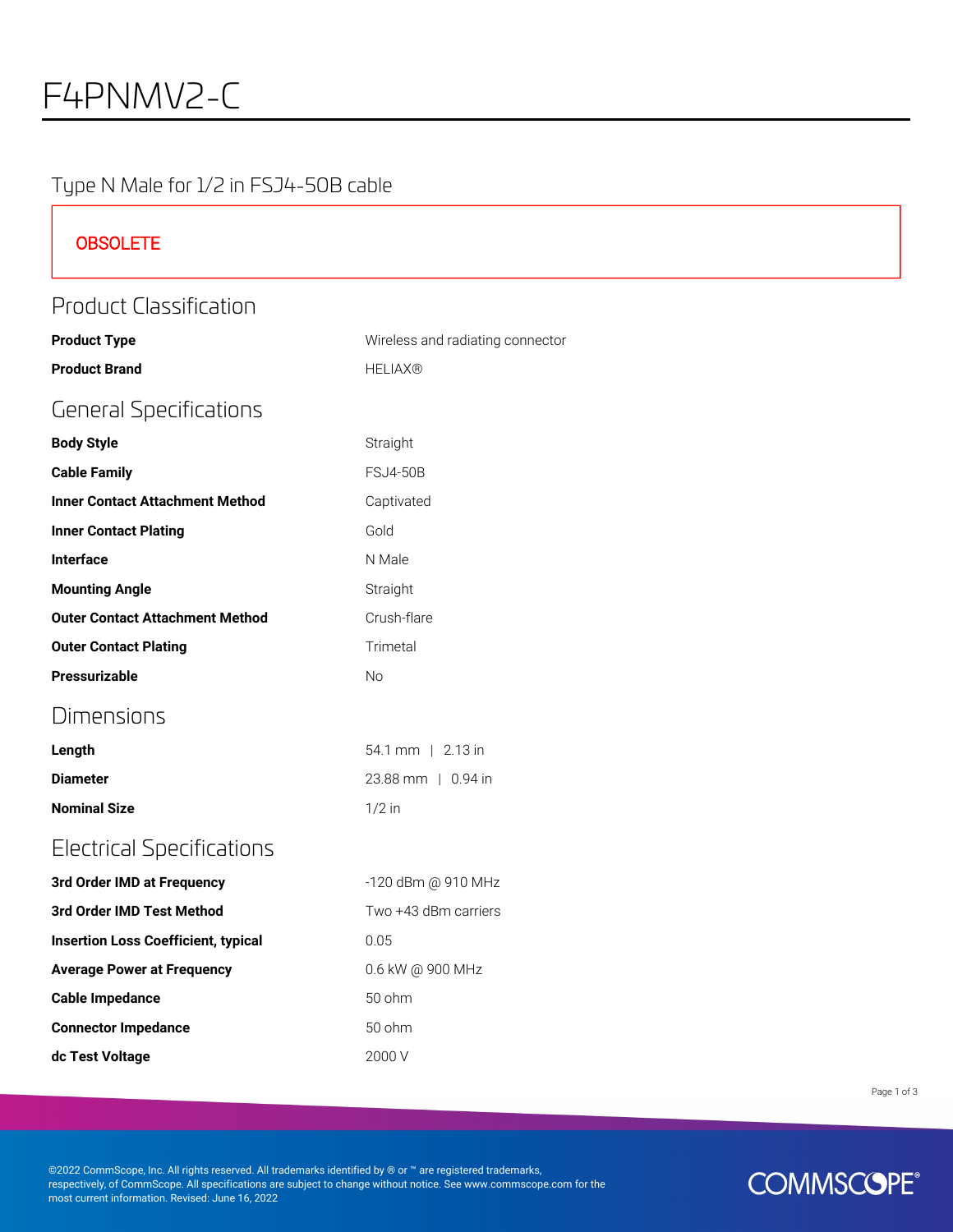#### Type N Male for 1/2 in FSJ4-50B cable

| <b>OBSOLETE</b>                            |                                  |  |
|--------------------------------------------|----------------------------------|--|
| <b>Product Classification</b>              |                                  |  |
| <b>Product Type</b>                        | Wireless and radiating connector |  |
| <b>Product Brand</b>                       | <b>HELIAX®</b>                   |  |
| <b>General Specifications</b>              |                                  |  |
| <b>Body Style</b>                          | Straight                         |  |
| <b>Cable Family</b>                        | <b>FSJ4-50B</b>                  |  |
| <b>Inner Contact Attachment Method</b>     | Captivated                       |  |
| <b>Inner Contact Plating</b>               | Gold                             |  |
| Interface                                  | N Male                           |  |
| <b>Mounting Angle</b>                      | Straight                         |  |
| <b>Outer Contact Attachment Method</b>     | Crush-flare                      |  |
| <b>Outer Contact Plating</b>               | Trimetal                         |  |
| Pressurizable                              | No                               |  |
| <b>Dimensions</b>                          |                                  |  |
| Length                                     | 54.1 mm   2.13 in                |  |
| <b>Diameter</b>                            | 23.88 mm   0.94 in               |  |
| <b>Nominal Size</b>                        | $1/2$ in                         |  |
| <b>Electrical Specifications</b>           |                                  |  |
| 3rd Order IMD at Frequency                 | -120 dBm @ 910 MHz               |  |
| 3rd Order IMD Test Method                  | Two +43 dBm carriers             |  |
| <b>Insertion Loss Coefficient, typical</b> | 0.05                             |  |
| <b>Average Power at Frequency</b>          | 0.6 kW @ 900 MHz                 |  |
| <b>Cable Impedance</b>                     | 50 ohm                           |  |
| <b>Connector Impedance</b>                 | 50 ohm                           |  |
| dc Test Voltage                            | 2000 V                           |  |

Page 1 of 3

©2022 CommScope, Inc. All rights reserved. All trademarks identified by ® or ™ are registered trademarks, respectively, of CommScope. All specifications are subject to change without notice. See www.commscope.com for the most current information. Revised: June 16, 2022

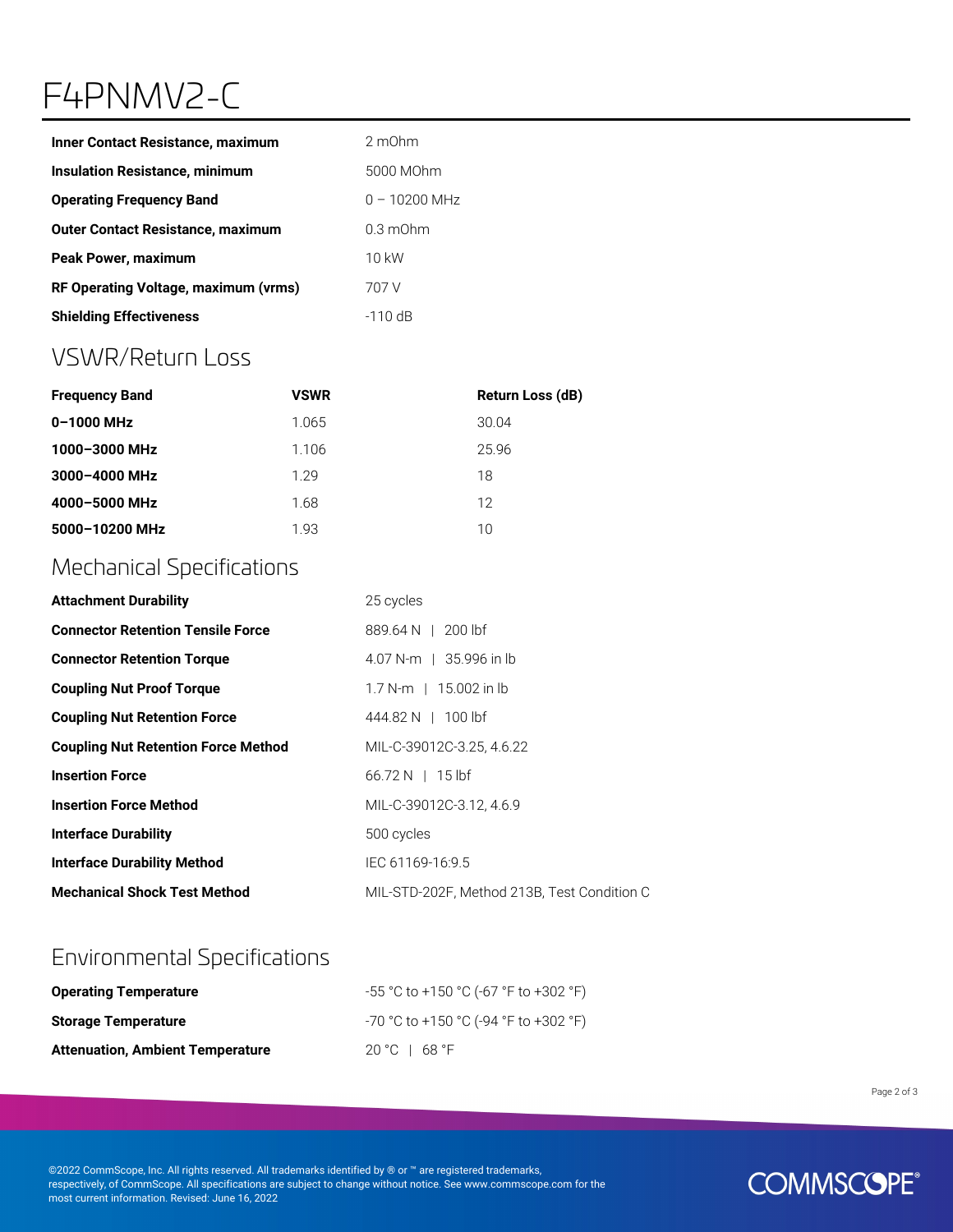# F4PNMV2-C

| <b>Inner Contact Resistance, maximum</b> | 2 m0hm             |
|------------------------------------------|--------------------|
| <b>Insulation Resistance, minimum</b>    | 5000 MOhm          |
| <b>Operating Frequency Band</b>          | $0 - 10200$ MHz    |
| <b>Outer Contact Resistance, maximum</b> | $0.3 \text{ mOhm}$ |
| <b>Peak Power, maximum</b>               | 10 kW              |
| RF Operating Voltage, maximum (vrms)     | 707 V              |
| <b>Shielding Effectiveness</b>           | $-110$ dB          |

### VSWR/Return Loss

| <b>Frequency Band</b> | <b>VSWR</b> | Return Loss (dB) |
|-----------------------|-------------|------------------|
| $0 - 1000$ MHz        | 1.065       | 30.04            |
| 1000-3000 MHz         | 1.106       | 25.96            |
| 3000-4000 MHz         | 1 29        | 18               |
| 4000-5000 MHz         | 1.68        | 12               |
| 5000-10200 MHz        | 1.93        | 10               |

### Mechanical Specifications

| <b>Attachment Durability</b>               | 25 cycles                                   |
|--------------------------------------------|---------------------------------------------|
| <b>Connector Retention Tensile Force</b>   | 889.64 N   200 lbf                          |
| <b>Connector Retention Torque</b>          | 4.07 N-m   35.996 in lb                     |
| <b>Coupling Nut Proof Torque</b>           | $1.7 N-m$   15.002 in lb                    |
| <b>Coupling Nut Retention Force</b>        | 444.82 N 1 100 lbf                          |
| <b>Coupling Nut Retention Force Method</b> | MIL-C-39012C-3.25, 4.6.22                   |
| <b>Insertion Force</b>                     | $66.72 N$   15 lbf                          |
| <b>Insertion Force Method</b>              | MIL-C-39012C-3.12, 4.6.9                    |
| <b>Interface Durability</b>                | 500 cycles                                  |
| <b>Interface Durability Method</b>         | IEC 61169-16:9.5                            |
| <b>Mechanical Shock Test Method</b>        | MIL-STD-202F, Method 213B, Test Condition C |

### Environmental Specifications

| <b>Operating Temperature</b>            | -55 °C to +150 °C (-67 °F to +302 °F) |
|-----------------------------------------|---------------------------------------|
| <b>Storage Temperature</b>              | -70 °C to +150 °C (-94 °F to +302 °F) |
| <b>Attenuation, Ambient Temperature</b> | 20 °C $\pm$ 68 °F                     |

Page 2 of 3

©2022 CommScope, Inc. All rights reserved. All trademarks identified by ® or ™ are registered trademarks, respectively, of CommScope. All specifications are subject to change without notice. See www.commscope.com for the most current information. Revised: June 16, 2022